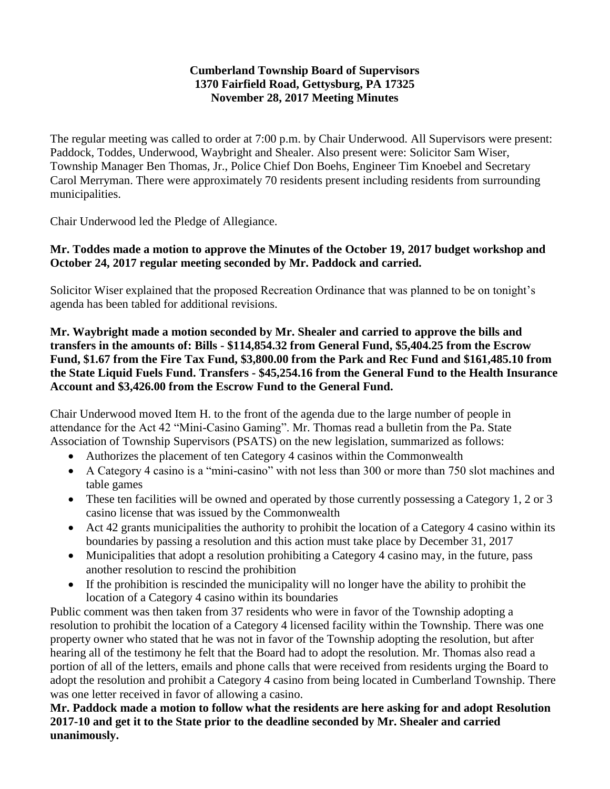### **Cumberland Township Board of Supervisors 1370 Fairfield Road, Gettysburg, PA 17325 November 28, 2017 Meeting Minutes**

The regular meeting was called to order at 7:00 p.m. by Chair Underwood. All Supervisors were present: Paddock, Toddes, Underwood, Waybright and Shealer. Also present were: Solicitor Sam Wiser, Township Manager Ben Thomas, Jr., Police Chief Don Boehs, Engineer Tim Knoebel and Secretary Carol Merryman. There were approximately 70 residents present including residents from surrounding municipalities.

Chair Underwood led the Pledge of Allegiance.

# **Mr. Toddes made a motion to approve the Minutes of the October 19, 2017 budget workshop and October 24, 2017 regular meeting seconded by Mr. Paddock and carried.**

Solicitor Wiser explained that the proposed Recreation Ordinance that was planned to be on tonight's agenda has been tabled for additional revisions.

**Mr. Waybright made a motion seconded by Mr. Shealer and carried to approve the bills and transfers in the amounts of: Bills - \$114,854.32 from General Fund, \$5,404.25 from the Escrow Fund, \$1.67 from the Fire Tax Fund, \$3,800.00 from the Park and Rec Fund and \$161,485.10 from the State Liquid Fuels Fund. Transfers - \$45,254.16 from the General Fund to the Health Insurance Account and \$3,426.00 from the Escrow Fund to the General Fund.**

Chair Underwood moved Item H. to the front of the agenda due to the large number of people in attendance for the Act 42 "Mini-Casino Gaming". Mr. Thomas read a bulletin from the Pa. State Association of Township Supervisors (PSATS) on the new legislation, summarized as follows:

- Authorizes the placement of ten Category 4 casinos within the Commonwealth
- A Category 4 casino is a "mini-casino" with not less than 300 or more than 750 slot machines and table games
- These ten facilities will be owned and operated by those currently possessing a Category 1, 2 or 3 casino license that was issued by the Commonwealth
- Act 42 grants municipalities the authority to prohibit the location of a Category 4 casino within its boundaries by passing a resolution and this action must take place by December 31, 2017
- Municipalities that adopt a resolution prohibiting a Category 4 casino may, in the future, pass another resolution to rescind the prohibition
- If the prohibition is rescinded the municipality will no longer have the ability to prohibit the location of a Category 4 casino within its boundaries

Public comment was then taken from 37 residents who were in favor of the Township adopting a resolution to prohibit the location of a Category 4 licensed facility within the Township. There was one property owner who stated that he was not in favor of the Township adopting the resolution, but after hearing all of the testimony he felt that the Board had to adopt the resolution. Mr. Thomas also read a portion of all of the letters, emails and phone calls that were received from residents urging the Board to adopt the resolution and prohibit a Category 4 casino from being located in Cumberland Township. There was one letter received in favor of allowing a casino.

### **Mr. Paddock made a motion to follow what the residents are here asking for and adopt Resolution 2017-10 and get it to the State prior to the deadline seconded by Mr. Shealer and carried unanimously.**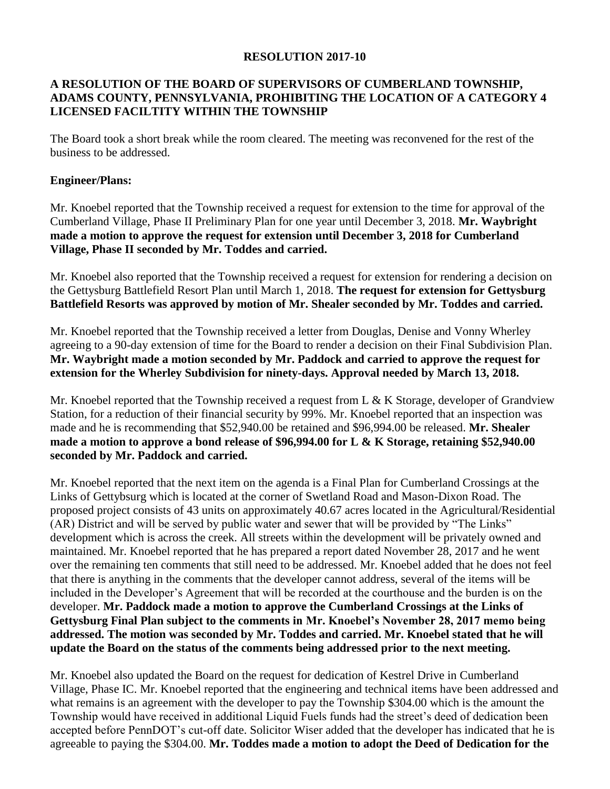#### **RESOLUTION 2017-10**

# **A RESOLUTION OF THE BOARD OF SUPERVISORS OF CUMBERLAND TOWNSHIP, ADAMS COUNTY, PENNSYLVANIA, PROHIBITING THE LOCATION OF A CATEGORY 4 LICENSED FACILTITY WITHIN THE TOWNSHIP**

The Board took a short break while the room cleared. The meeting was reconvened for the rest of the business to be addressed.

#### **Engineer/Plans:**

Mr. Knoebel reported that the Township received a request for extension to the time for approval of the Cumberland Village, Phase II Preliminary Plan for one year until December 3, 2018. **Mr. Waybright made a motion to approve the request for extension until December 3, 2018 for Cumberland Village, Phase II seconded by Mr. Toddes and carried.**

Mr. Knoebel also reported that the Township received a request for extension for rendering a decision on the Gettysburg Battlefield Resort Plan until March 1, 2018. **The request for extension for Gettysburg Battlefield Resorts was approved by motion of Mr. Shealer seconded by Mr. Toddes and carried.**

Mr. Knoebel reported that the Township received a letter from Douglas, Denise and Vonny Wherley agreeing to a 90-day extension of time for the Board to render a decision on their Final Subdivision Plan. **Mr. Waybright made a motion seconded by Mr. Paddock and carried to approve the request for extension for the Wherley Subdivision for ninety-days. Approval needed by March 13, 2018.** 

Mr. Knoebel reported that the Township received a request from L & K Storage, developer of Grandview Station, for a reduction of their financial security by 99%. Mr. Knoebel reported that an inspection was made and he is recommending that \$52,940.00 be retained and \$96,994.00 be released. **Mr. Shealer made a motion to approve a bond release of \$96,994.00 for L & K Storage, retaining \$52,940.00 seconded by Mr. Paddock and carried.**

Mr. Knoebel reported that the next item on the agenda is a Final Plan for Cumberland Crossings at the Links of Gettybsurg which is located at the corner of Swetland Road and Mason-Dixon Road. The proposed project consists of 43 units on approximately 40.67 acres located in the Agricultural/Residential (AR) District and will be served by public water and sewer that will be provided by "The Links" development which is across the creek. All streets within the development will be privately owned and maintained. Mr. Knoebel reported that he has prepared a report dated November 28, 2017 and he went over the remaining ten comments that still need to be addressed. Mr. Knoebel added that he does not feel that there is anything in the comments that the developer cannot address, several of the items will be included in the Developer's Agreement that will be recorded at the courthouse and the burden is on the developer. **Mr. Paddock made a motion to approve the Cumberland Crossings at the Links of Gettysburg Final Plan subject to the comments in Mr. Knoebel's November 28, 2017 memo being addressed. The motion was seconded by Mr. Toddes and carried. Mr. Knoebel stated that he will update the Board on the status of the comments being addressed prior to the next meeting.** 

Mr. Knoebel also updated the Board on the request for dedication of Kestrel Drive in Cumberland Village, Phase IC. Mr. Knoebel reported that the engineering and technical items have been addressed and what remains is an agreement with the developer to pay the Township \$304.00 which is the amount the Township would have received in additional Liquid Fuels funds had the street's deed of dedication been accepted before PennDOT's cut-off date. Solicitor Wiser added that the developer has indicated that he is agreeable to paying the \$304.00. **Mr. Toddes made a motion to adopt the Deed of Dedication for the**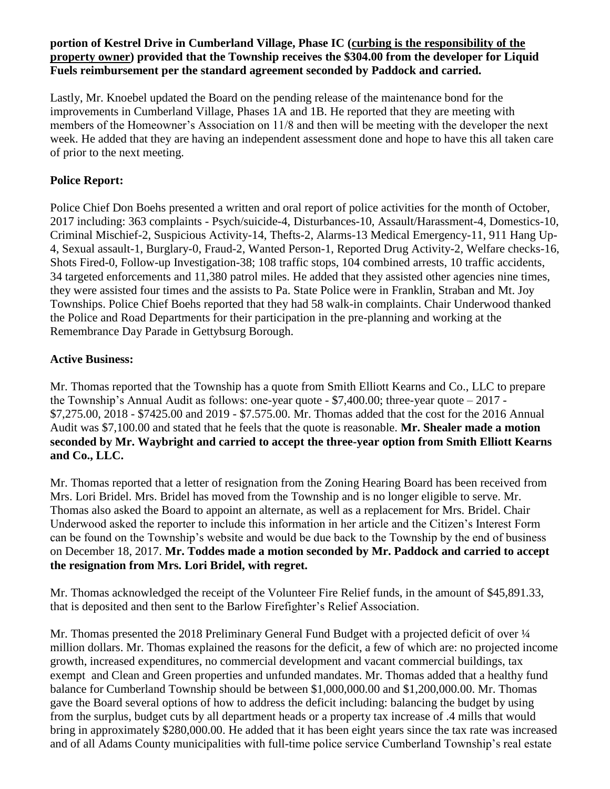### **portion of Kestrel Drive in Cumberland Village, Phase IC (curbing is the responsibility of the property owner) provided that the Township receives the \$304.00 from the developer for Liquid Fuels reimbursement per the standard agreement seconded by Paddock and carried.**

Lastly, Mr. Knoebel updated the Board on the pending release of the maintenance bond for the improvements in Cumberland Village, Phases 1A and 1B. He reported that they are meeting with members of the Homeowner's Association on 11/8 and then will be meeting with the developer the next week. He added that they are having an independent assessment done and hope to have this all taken care of prior to the next meeting.

# **Police Report:**

Police Chief Don Boehs presented a written and oral report of police activities for the month of October, 2017 including: 363 complaints - Psych/suicide-4, Disturbances-10, Assault/Harassment-4, Domestics-10, Criminal Mischief-2, Suspicious Activity-14, Thefts-2, Alarms-13 Medical Emergency-11, 911 Hang Up-4, Sexual assault-1, Burglary-0, Fraud-2, Wanted Person-1, Reported Drug Activity-2, Welfare checks-16, Shots Fired-0, Follow-up Investigation-38; 108 traffic stops, 104 combined arrests, 10 traffic accidents, 34 targeted enforcements and 11,380 patrol miles. He added that they assisted other agencies nine times, they were assisted four times and the assists to Pa. State Police were in Franklin, Straban and Mt. Joy Townships. Police Chief Boehs reported that they had 58 walk-in complaints. Chair Underwood thanked the Police and Road Departments for their participation in the pre-planning and working at the Remembrance Day Parade in Gettybsurg Borough.

# **Active Business:**

Mr. Thomas reported that the Township has a quote from Smith Elliott Kearns and Co., LLC to prepare the Township's Annual Audit as follows: one-year quote - \$7,400.00; three-year quote – 2017 - \$7,275.00, 2018 - \$7425.00 and 2019 - \$7.575.00. Mr. Thomas added that the cost for the 2016 Annual Audit was \$7,100.00 and stated that he feels that the quote is reasonable. **Mr. Shealer made a motion seconded by Mr. Waybright and carried to accept the three-year option from Smith Elliott Kearns and Co., LLC.**

Mr. Thomas reported that a letter of resignation from the Zoning Hearing Board has been received from Mrs. Lori Bridel. Mrs. Bridel has moved from the Township and is no longer eligible to serve. Mr. Thomas also asked the Board to appoint an alternate, as well as a replacement for Mrs. Bridel. Chair Underwood asked the reporter to include this information in her article and the Citizen's Interest Form can be found on the Township's website and would be due back to the Township by the end of business on December 18, 2017. **Mr. Toddes made a motion seconded by Mr. Paddock and carried to accept the resignation from Mrs. Lori Bridel, with regret.**

Mr. Thomas acknowledged the receipt of the Volunteer Fire Relief funds, in the amount of \$45,891.33, that is deposited and then sent to the Barlow Firefighter's Relief Association.

Mr. Thomas presented the 2018 Preliminary General Fund Budget with a projected deficit of over  $\frac{1}{4}$ million dollars. Mr. Thomas explained the reasons for the deficit, a few of which are: no projected income growth, increased expenditures, no commercial development and vacant commercial buildings, tax exempt and Clean and Green properties and unfunded mandates. Mr. Thomas added that a healthy fund balance for Cumberland Township should be between \$1,000,000.00 and \$1,200,000.00. Mr. Thomas gave the Board several options of how to address the deficit including: balancing the budget by using from the surplus, budget cuts by all department heads or a property tax increase of .4 mills that would bring in approximately \$280,000.00. He added that it has been eight years since the tax rate was increased and of all Adams County municipalities with full-time police service Cumberland Township's real estate